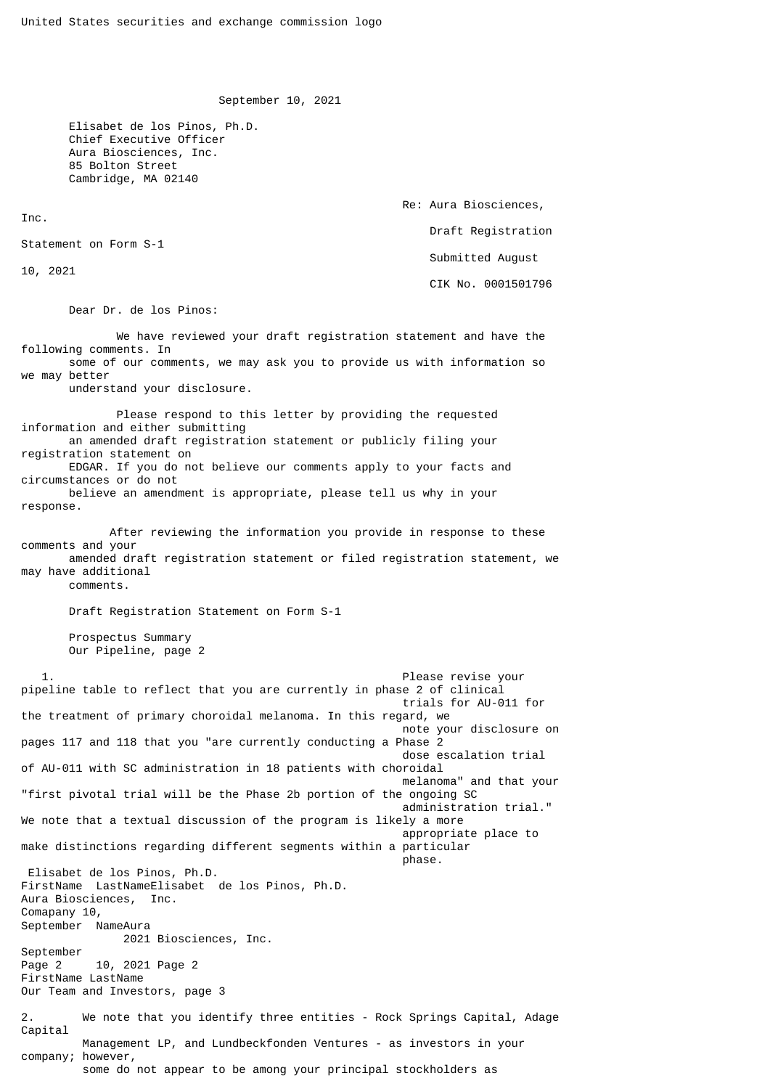September 10, 2021

 Elisabet de los Pinos, Ph.D. Chief Executive Officer Aura Biosciences, Inc. 85 Bolton Street Cambridge, MA 02140

> Re: Aura Biosciences, Draft Registration Submitted August CIK No. 0001501796

Statement on Form S-1

10, 2021

Inc.

Dear Dr. de los Pinos:

 We have reviewed your draft registration statement and have the following comments. In some of our comments, we may ask you to provide us with information so we may better understand your disclosure. Please respond to this letter by providing the requested information and either submitting an amended draft registration statement or publicly filing your registration statement on EDGAR. If you do not believe our comments apply to your facts and circumstances or do not believe an amendment is appropriate, please tell us why in your response. After reviewing the information you provide in response to these comments and your amended draft registration statement or filed registration statement, we may have additional comments. Draft Registration Statement on Form S-1 Prospectus Summary Our Pipeline, page 2 1. Please revise your pipeline table to reflect that you are currently in phase 2 of clinical trials for AU-011 for the treatment of primary choroidal melanoma. In this regard, we note your disclosure on pages 117 and 118 that you "are currently conducting a Phase 2 dose escalation trial of AU-011 with SC administration in 18 patients with choroidal melanoma" and that your "first pivotal trial will be the Phase 2b portion of the ongoing SC administration trial." We note that a textual discussion of the program is likely a more appropriate place to make distinctions regarding different segments within a particular  $\blacksquare$  phase. The contract of the contract of the contract of the contract of the contract of the contract of the contract of the contract of the contract of the contract of the contract of the contract of the contract of Elisabet de los Pinos, Ph.D. FirstName LastNameElisabet de los Pinos, Ph.D. Aura Biosciences, Inc. Comapany 10, September NameAura 2021 Biosciences, Inc. September Page 2 10, 2021 Page 2 FirstName LastName Our Team and Investors, page 3 2. We note that you identify three entities - Rock Springs Capital, Adage Capital Management LP, and Lundbeckfonden Ventures - as investors in your company; however, some do not appear to be among your principal stockholders as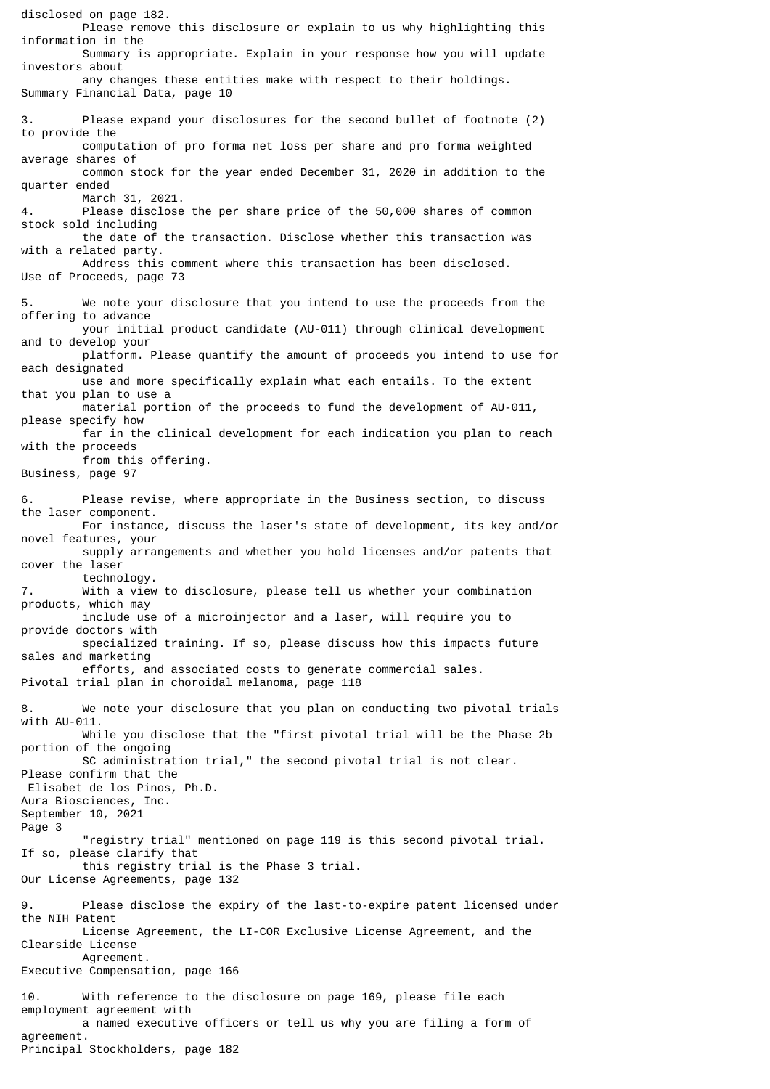disclosed on page 182. Please remove this disclosure or explain to us why highlighting this information in the Summary is appropriate. Explain in your response how you will update investors about any changes these entities make with respect to their holdings. Summary Financial Data, page 10 3. Please expand your disclosures for the second bullet of footnote (2) to provide the computation of pro forma net loss per share and pro forma weighted average shares of common stock for the year ended December 31, 2020 in addition to the quarter ended March 31, 2021. 4. Please disclose the per share price of the 50,000 shares of common stock sold including the date of the transaction. Disclose whether this transaction was with a related party. Address this comment where this transaction has been disclosed. Use of Proceeds, page 73 5. We note your disclosure that you intend to use the proceeds from the offering to advance your initial product candidate (AU-011) through clinical development and to develop your platform. Please quantify the amount of proceeds you intend to use for each designated use and more specifically explain what each entails. To the extent that you plan to use a material portion of the proceeds to fund the development of AU-011, please specify how far in the clinical development for each indication you plan to reach with the proceeds from this offering. Business, page 97 6. Please revise, where appropriate in the Business section, to discuss the laser component. For instance, discuss the laser's state of development, its key and/or novel features, your supply arrangements and whether you hold licenses and/or patents that cover the laser technology.<br>Mith a view With a view to disclosure, please tell us whether your combination products, which may include use of a microinjector and a laser, will require you to provide doctors with specialized training. If so, please discuss how this impacts future sales and marketing efforts, and associated costs to generate commercial sales. Pivotal trial plan in choroidal melanoma, page 118 8. We note your disclosure that you plan on conducting two pivotal trials with AU-011. While you disclose that the "first pivotal trial will be the Phase 2b portion of the ongoing SC administration trial," the second pivotal trial is not clear. Please confirm that the Elisabet de los Pinos, Ph.D. Aura Biosciences, Inc. September 10, 2021 Page 3 "registry trial" mentioned on page 119 is this second pivotal trial. If so, please clarify that this registry trial is the Phase 3 trial. Our License Agreements, page 132 9. Please disclose the expiry of the last-to-expire patent licensed under the NIH Patent License Agreement, the LI-COR Exclusive License Agreement, and the Clearside License Agreement. Executive Compensation, page 166 10. With reference to the disclosure on page 169, please file each employment agreement with a named executive officers or tell us why you are filing a form of agreement. Principal Stockholders, page 182